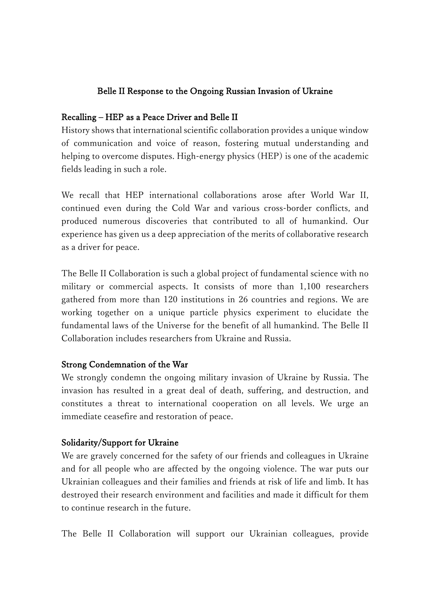## Belle II Response to the Ongoing Russian Invasion of Ukraine

#### Recalling ‒ HEP as a Peace Driver and Belle II

History shows that international scientific collaboration provides a unique window of communication and voice of reason, fostering mutual understanding and helping to overcome disputes. High-energy physics (HEP) is one of the academic fields leading in such a role.

We recall that HEP international collaborations arose after World War II, continued even during the Cold War and various cross-border conflicts, and produced numerous discoveries that contributed to all of humankind. Our experience has given us a deep appreciation of the merits of collaborative research as a driver for peace.

The Belle II Collaboration is such a global project of fundamental science with no military or commercial aspects. It consists of more than 1,100 researchers gathered from more than 120 institutions in 26 countries and regions. We are working together on a unique particle physics experiment to elucidate the fundamental laws of the Universe for the benefit of all humankind. The Belle II Collaboration includes researchers from Ukraine and Russia.

#### Strong Condemnation of the War

We strongly condemn the ongoing military invasion of Ukraine by Russia. The invasion has resulted in a great deal of death, suffering, and destruction, and constitutes a threat to international cooperation on all levels. We urge an immediate ceasefire and restoration of peace.

#### Solidarity/Support for Ukraine

We are gravely concerned for the safety of our friends and colleagues in Ukraine and for all people who are affected by the ongoing violence. The war puts our Ukrainian colleagues and their families and friends at risk of life and limb. It has destroyed their research environment and facilities and made it difficult for them to continue research in the future.

The Belle II Collaboration will support our Ukrainian colleagues, provide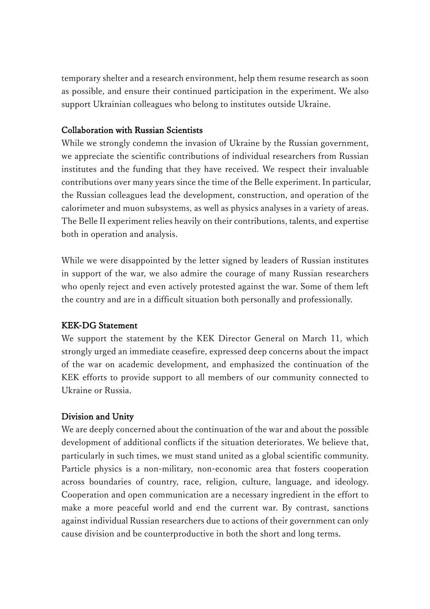temporary shelter and a research environment, help them resume research as soon as possible, and ensure their continued participation in the experiment. We also support Ukrainian colleagues who belong to institutes outside Ukraine.

## Collaboration with Russian Scientists

While we strongly condemn the invasion of Ukraine by the Russian government, we appreciate the scientific contributions of individual researchers from Russian institutes and the funding that they have received. We respect their invaluable contributions over many years since the time of the Belle experiment. In particular, the Russian colleagues lead the development, construction, and operation of the calorimeter and muon subsystems, as well as physics analyses in a variety of areas. The Belle II experiment relies heavily on their contributions, talents, and expertise both in operation and analysis.

While we were disappointed by the letter signed by leaders of Russian institutes in support of the war, we also admire the courage of many Russian researchers who openly reject and even actively protested against the war. Some of them left the country and are in a difficult situation both personally and professionally.

# KEK-DG Statement

We support the statement by the KEK Director General on March 11, which strongly urged an immediate ceasefire, expressed deep concerns about the impact of the war on academic development, and emphasized the continuation of the KEK efforts to provide support to all members of our community connected to Ukraine or Russia.

# Division and Unity

We are deeply concerned about the continuation of the war and about the possible development of additional conflicts if the situation deteriorates. We believe that, particularly in such times, we must stand united as a global scientific community. Particle physics is a non-military, non-economic area that fosters cooperation across boundaries of country, race, religion, culture, language, and ideology. Cooperation and open communication are a necessary ingredient in the effort to make a more peaceful world and end the current war. By contrast, sanctions against individual Russian researchers due to actions of their government can only cause division and be counterproductive in both the short and long terms.